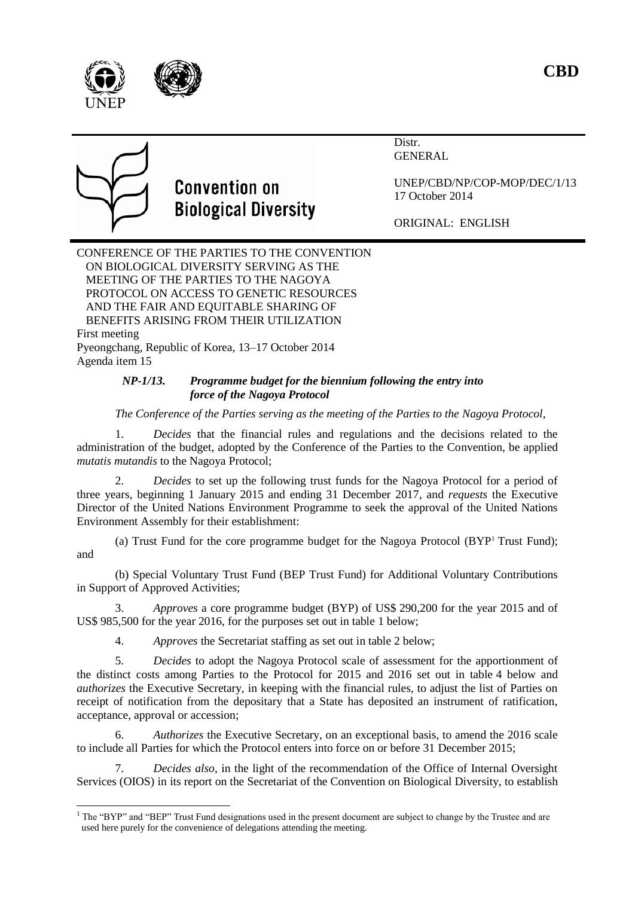

Distr. GENERAL



# **Convention on Biological Diversity**

UNEP/CBD/NP/COP-MOP/DEC/1/13 17 October 2014

ORIGINAL: ENGLISH

CONFERENCE OF THE PARTIES TO THE CONVENTION ON BIOLOGICAL DIVERSITY SERVING AS THE MEETING OF THE PARTIES TO THE NAGOYA PROTOCOL ON ACCESS TO GENETIC RESOURCES AND THE FAIR AND EQUITABLE SHARING OF BENEFITS ARISING FROM THEIR UTILIZATION First meeting Pyeongchang, Republic of Korea, 13–17 October 2014 Agenda item 15

# *NP-1/13. Programme budget for the biennium following the entry into force of the Nagoya Protocol*

# *The Conference of the Parties serving as the meeting of the Parties to the Nagoya Protocol,*

1. *Decides* that the financial rules and regulations and the decisions related to the administration of the budget, adopted by the Conference of the Parties to the Convention, be applied *mutatis mutandis* to the Nagoya Protocol;

2. *Decides* to set up the following trust funds for the Nagoya Protocol for a period of three years, beginning 1 January 2015 and ending 31 December 2017, and *requests* the Executive Director of the United Nations Environment Programme to seek the approval of the United Nations Environment Assembly for their establishment:

(a) Trust Fund for the core programme budget for the Nagoya Protocol (BYP<sup>1</sup> Trust Fund); and

(b) Special Voluntary Trust Fund (BEP Trust Fund) for Additional Voluntary Contributions in Support of Approved Activities;

3. *Approves* a core programme budget (BYP) of US\$ 290,200 for the year 2015 and of US\$ 985,500 for the year 2016, for the purposes set out in table 1 below;

4. *Approves* the Secretariat staffing as set out in table 2 below;

5. *Decides* to adopt the Nagoya Protocol scale of assessment for the apportionment of the distinct costs among Parties to the Protocol for 2015 and 2016 set out in table 4 below and *authorizes* the Executive Secretary, in keeping with the financial rules, to adjust the list of Parties on receipt of notification from the depositary that a State has deposited an instrument of ratification, acceptance, approval or accession;

6. *Authorizes* the Executive Secretary, on an exceptional basis, to amend the 2016 scale to include all Parties for which the Protocol enters into force on or before 31 December 2015;

7. *Decides also*, in the light of the recommendation of the Office of Internal Oversight Services (OIOS) in its report on the Secretariat of the Convention on Biological Diversity, to establish

<sup>1</sup>  $<sup>1</sup>$  The "BYP" and "BEP" Trust Fund designations used in the present document are subject to change by the Trustee and are</sup> used here purely for the convenience of delegations attending the meeting.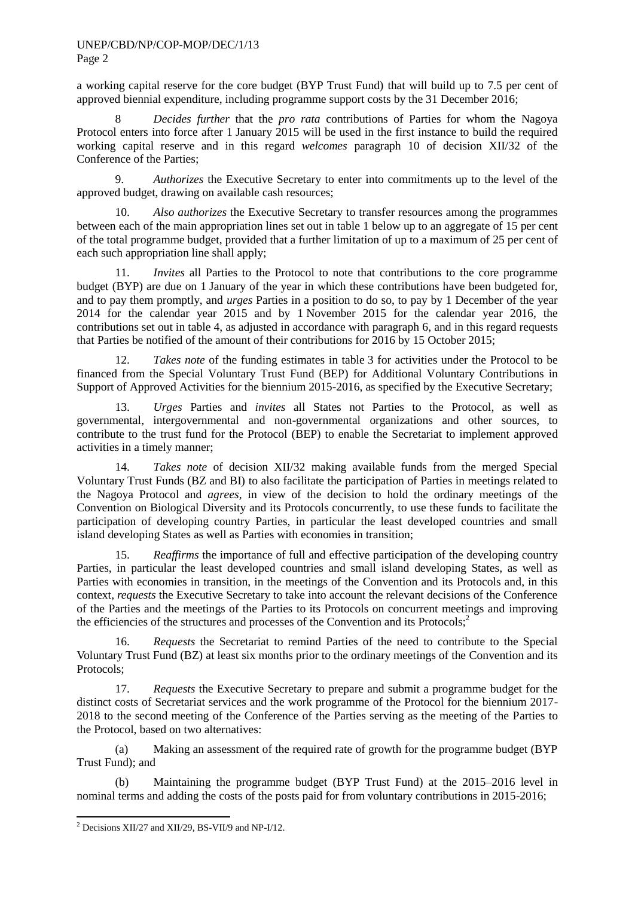#### UNEP/CBD/NP/COP-MOP/DEC/1/13 Page 2

a working capital reserve for the core budget (BYP Trust Fund) that will build up to 7.5 per cent of approved biennial expenditure, including programme support costs by the 31 December 2016;

8 *Decides further* that the *pro rata* contributions of Parties for whom the Nagoya Protocol enters into force after 1 January 2015 will be used in the first instance to build the required working capital reserve and in this regard *welcomes* paragraph 10 of decision XII/32 of the Conference of the Parties;

9. *Authorizes* the Executive Secretary to enter into commitments up to the level of the approved budget, drawing on available cash resources;

10. *Also authorizes* the Executive Secretary to transfer resources among the programmes between each of the main appropriation lines set out in table 1 below up to an aggregate of 15 per cent of the total programme budget, provided that a further limitation of up to a maximum of 25 per cent of each such appropriation line shall apply;

11. *Invites* all Parties to the Protocol to note that contributions to the core programme budget (BYP) are due on 1 January of the year in which these contributions have been budgeted for, and to pay them promptly, and *urges* Parties in a position to do so, to pay by 1 December of the year 2014 for the calendar year 2015 and by 1 November 2015 for the calendar year 2016, the contributions set out in table 4, as adjusted in accordance with paragraph 6, and in this regard requests that Parties be notified of the amount of their contributions for 2016 by 15 October 2015;

12. *Takes note* of the funding estimates in table 3 for activities under the Protocol to be financed from the Special Voluntary Trust Fund (BEP) for Additional Voluntary Contributions in Support of Approved Activities for the biennium 2015-2016, as specified by the Executive Secretary;

13. *Urges* Parties and *invites* all States not Parties to the Protocol, as well as governmental, intergovernmental and non-governmental organizations and other sources, to contribute to the trust fund for the Protocol (BEP) to enable the Secretariat to implement approved activities in a timely manner;

14. *Takes note* of decision XII/32 making available funds from the merged Special Voluntary Trust Funds (BZ and BI) to also facilitate the participation of Parties in meetings related to the Nagoya Protocol and *agrees*, in view of the decision to hold the ordinary meetings of the Convention on Biological Diversity and its Protocols concurrently, to use these funds to facilitate the participation of developing country Parties, in particular the least developed countries and small island developing States as well as Parties with economies in transition;

15. *Reaffirms* the importance of full and effective participation of the developing country Parties, in particular the least developed countries and small island developing States, as well as Parties with economies in transition, in the meetings of the Convention and its Protocols and, in this context, *requests* the Executive Secretary to take into account the relevant decisions of the Conference of the Parties and the meetings of the Parties to its Protocols on concurrent meetings and improving the efficiencies of the structures and processes of the Convention and its Protocols; 2

16. *Requests* the Secretariat to remind Parties of the need to contribute to the Special Voluntary Trust Fund (BZ) at least six months prior to the ordinary meetings of the Convention and its Protocols;

17. *Requests* the Executive Secretary to prepare and submit a programme budget for the distinct costs of Secretariat services and the work programme of the Protocol for the biennium 2017- 2018 to the second meeting of the Conference of the Parties serving as the meeting of the Parties to the Protocol, based on two alternatives:

(a) Making an assessment of the required rate of growth for the programme budget (BYP Trust Fund); and

(b) Maintaining the programme budget (BYP Trust Fund) at the 2015–2016 level in nominal terms and adding the costs of the posts paid for from voluntary contributions in 2015-2016;

-

 $2$  Decisions XII/27 and XII/29, BS-VII/9 and NP-I/12.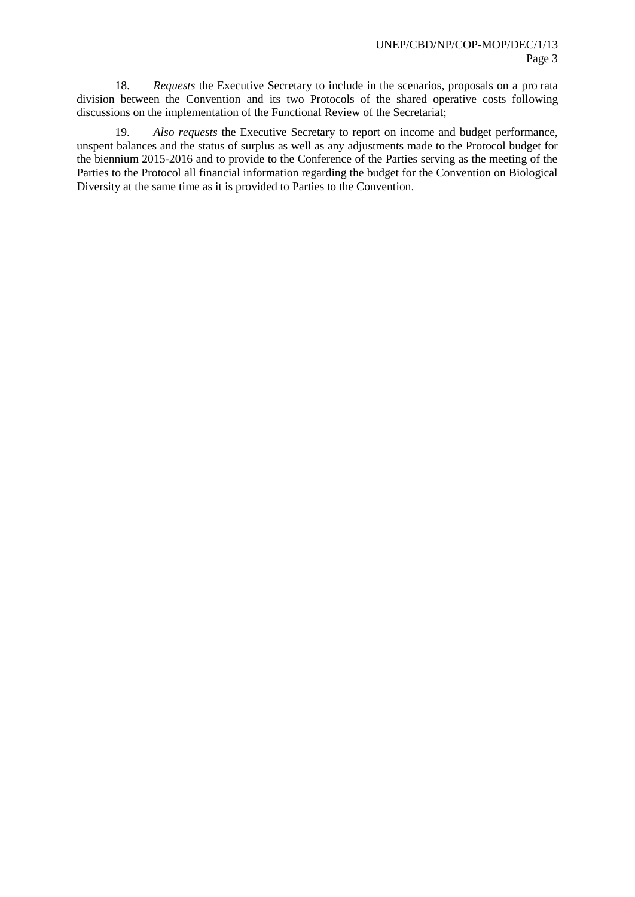18. *Requests* the Executive Secretary to include in the scenarios, proposals on a pro rata division between the Convention and its two Protocols of the shared operative costs following discussions on the implementation of the Functional Review of the Secretariat;

19. *Also requests* the Executive Secretary to report on income and budget performance, unspent balances and the status of surplus as well as any adjustments made to the Protocol budget for the biennium 2015-2016 and to provide to the Conference of the Parties serving as the meeting of the Parties to the Protocol all financial information regarding the budget for the Convention on Biological Diversity at the same time as it is provided to Parties to the Convention.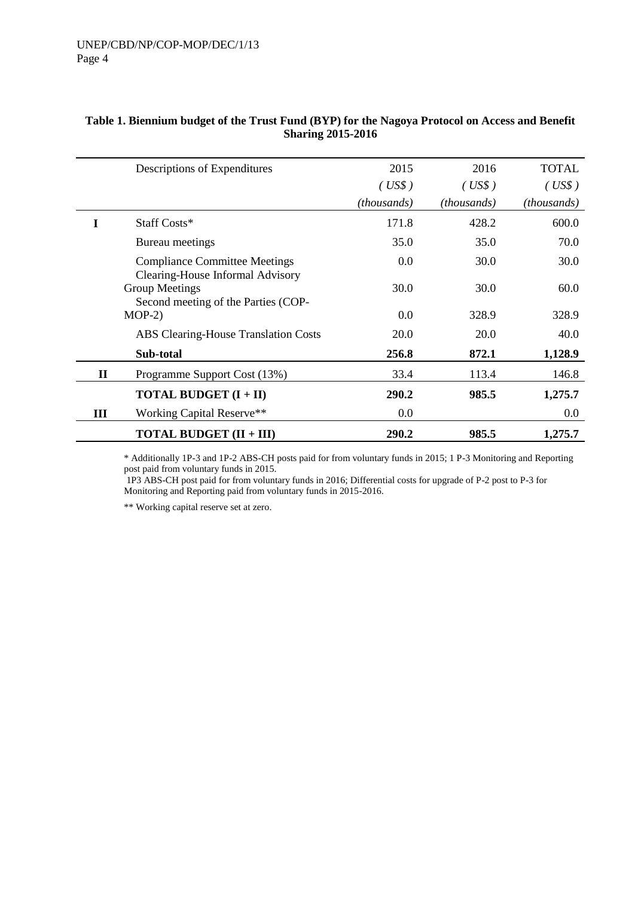|           | Descriptions of Expenditures                                             | 2015<br>(US\$)<br>(thousands) | 2016<br>(US\$)<br>(thousands) | <b>TOTAL</b><br>(US\$)<br><i>(thousands)</i> |
|-----------|--------------------------------------------------------------------------|-------------------------------|-------------------------------|----------------------------------------------|
| L         | Staff Costs*                                                             | 171.8                         | 428.2                         | 600.0                                        |
|           | Bureau meetings                                                          | 35.0                          | 35.0                          | 70.0                                         |
|           | <b>Compliance Committee Meetings</b><br>Clearing-House Informal Advisory | 0.0                           | 30.0                          | 30.0                                         |
|           | Group Meetings<br>Second meeting of the Parties (COP-                    | 30.0                          | 30.0                          | 60.0                                         |
|           | $MOP-2$                                                                  | 0.0                           | 328.9                         | 328.9                                        |
|           | <b>ABS Clearing-House Translation Costs</b>                              | 20.0                          | 20.0                          | 40.0                                         |
| Sub-total |                                                                          | 256.8                         | 872.1                         | 1,128.9                                      |
| $\bf{I}$  | Programme Support Cost (13%)                                             | 33.4                          | 113.4                         | 146.8                                        |
|           | <b>TOTAL BUDGET <math>(I + II)</math></b>                                | 290.2                         | 985.5                         | 1,275.7                                      |
| Ш         | <b>Working Capital Reserve**</b>                                         | $0.0\,$                       |                               | $0.0\,$                                      |
|           | <b>TOTAL BUDGET (II + III)</b>                                           | 290.2                         | 985.5                         | 1,275.7                                      |

#### **Table 1. Biennium budget of the Trust Fund (BYP) for the Nagoya Protocol on Access and Benefit Sharing 2015-2016**

\* Additionally 1P-3 and 1P-2 ABS-CH posts paid for from voluntary funds in 2015; 1 P-3 Monitoring and Reporting post paid from voluntary funds in 2015.

1P3 ABS-CH post paid for from voluntary funds in 2016; Differential costs for upgrade of P-2 post to P-3 for Monitoring and Reporting paid from voluntary funds in 2015-2016.

\*\* Working capital reserve set at zero.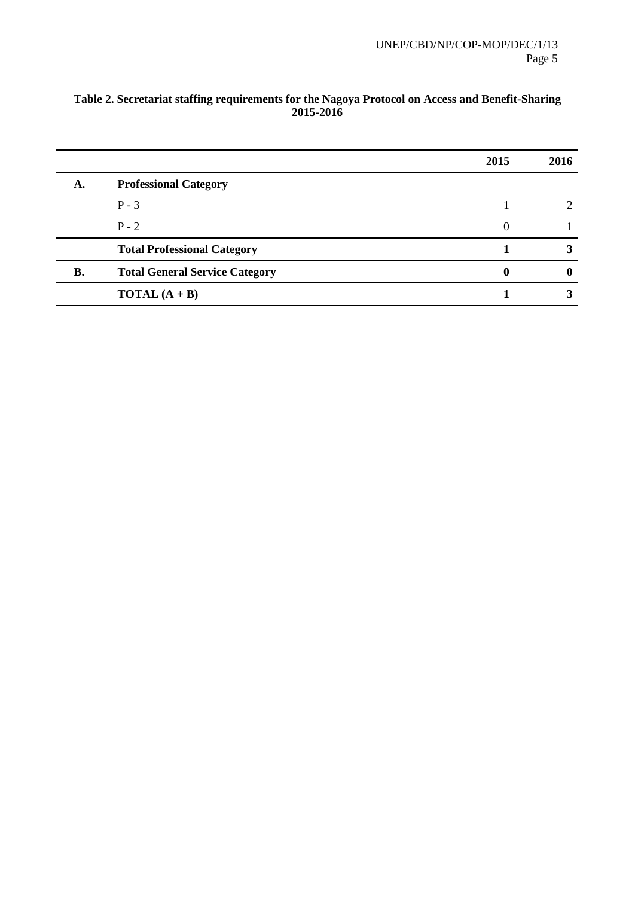|           |                                       | 2015 | 2016        |
|-----------|---------------------------------------|------|-------------|
| А.        | <b>Professional Category</b>          |      |             |
|           | $P - 3$                               |      |             |
|           | $P - 2$                               | 0    |             |
|           | <b>Total Professional Category</b>    |      |             |
| <b>B.</b> | <b>Total General Service Category</b> |      | $\mathbf 0$ |
|           | <b>TOTAL</b> $(A + B)$                |      |             |

## **Table 2. Secretariat staffing requirements for the Nagoya Protocol on Access and Benefit-Sharing 2015-2016**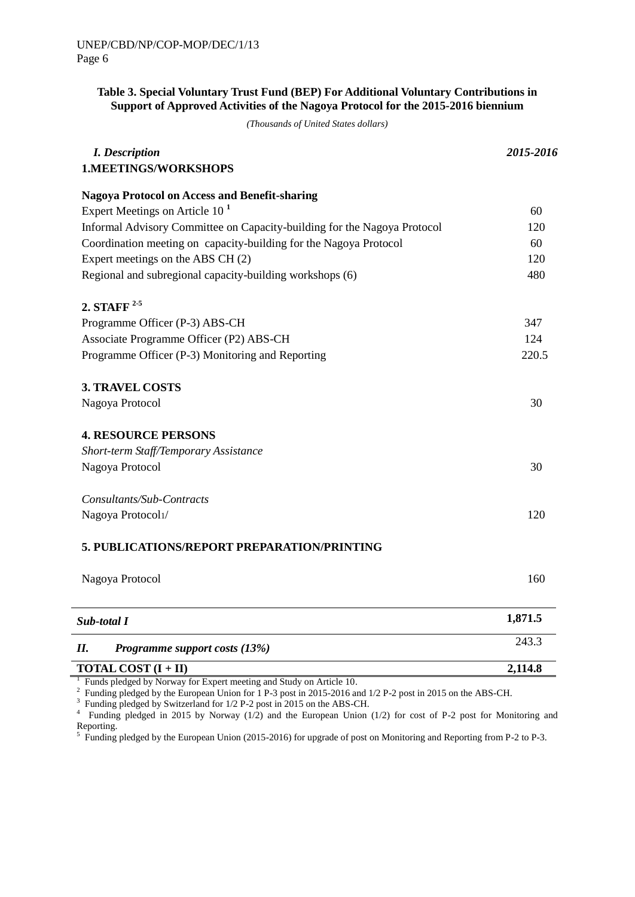# **Table 3. Special Voluntary Trust Fund (BEP) For Additional Voluntary Contributions in Support of Approved Activities of the Nagoya Protocol for the 2015-2016 biennium**

*(Thousands of United States dollars)*

| <b>I.</b> Description                                                    | 2015-2016 |  |
|--------------------------------------------------------------------------|-----------|--|
| <b>1.MEETINGS/WORKSHOPS</b>                                              |           |  |
| <b>Nagoya Protocol on Access and Benefit-sharing</b>                     |           |  |
| Expert Meetings on Article $101$                                         | 60        |  |
| Informal Advisory Committee on Capacity-building for the Nagoya Protocol | 120       |  |
| Coordination meeting on capacity-building for the Nagoya Protocol        | 60        |  |
| Expert meetings on the ABS CH (2)                                        | 120       |  |
| Regional and subregional capacity-building workshops (6)                 | 480       |  |
| 2. STAFF $2-5$                                                           |           |  |
| Programme Officer (P-3) ABS-CH                                           | 347       |  |
| Associate Programme Officer (P2) ABS-CH                                  | 124       |  |
| Programme Officer (P-3) Monitoring and Reporting                         | 220.5     |  |
| <b>3. TRAVEL COSTS</b>                                                   |           |  |
| Nagoya Protocol                                                          | 30        |  |
| <b>4. RESOURCE PERSONS</b>                                               |           |  |
| Short-term Staff/Temporary Assistance                                    |           |  |
| Nagoya Protocol                                                          | 30        |  |
| Consultants/Sub-Contracts                                                |           |  |
| Nagoya Protocol1/                                                        | 120       |  |
| 5. PUBLICATIONS/REPORT PREPARATION/PRINTING                              |           |  |
| Nagoya Protocol                                                          | 160       |  |
| Sub-total I                                                              | 1,871.5   |  |
| Programme support costs (13%)<br>Н.                                      | 243.3     |  |
| <b>TOTAL COST</b> $(I + II)$                                             | 2,114.8   |  |

<sup>1</sup> Funds pledged by Norway for Expert meeting and Study on Article 10.

<sup>2</sup> Funding pledged by the European Union for 1 P-3 post in 2015-2016 and 1/2 P-2 post in 2015 on the ABS-CH.

<sup>3</sup> Funding pledged by Switzerland for 1/2 P-2 post in 2015 on the ABS-CH.

4 Funding pledged in 2015 by Norway (1/2) and the European Union (1/2) for cost of P-2 post for Monitoring and Reporting.

 $5$  Funding pledged by the European Union (2015-2016) for upgrade of post on Monitoring and Reporting from P-2 to P-3.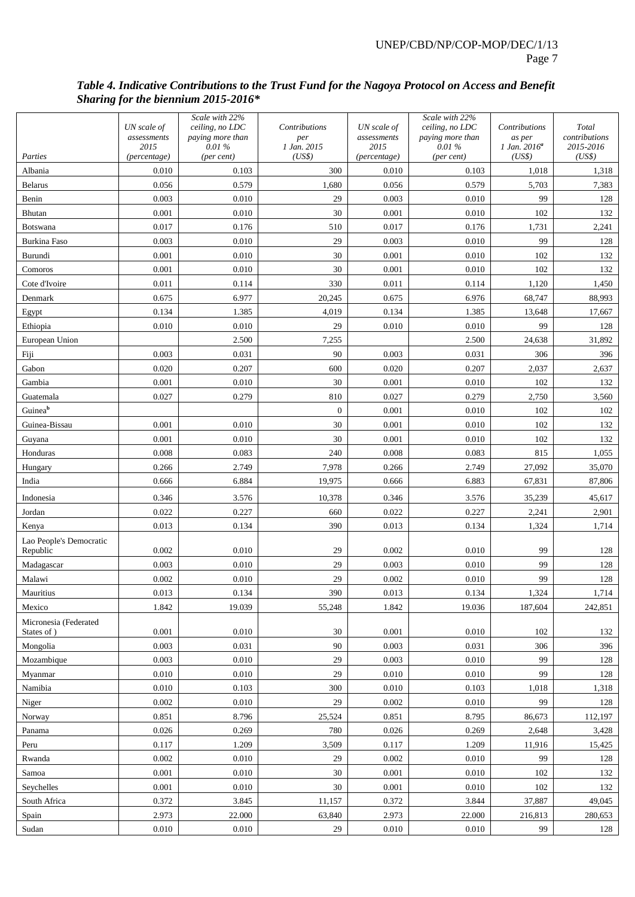## *Table 4. Indicative Contributions to the Trust Fund for the Nagoya Protocol on Access and Benefit Sharing for the biennium 2015-2016\**

|                                      |                            | Scale with 22%                      |                      |                            | Scale with 22%                      |                         |                        |
|--------------------------------------|----------------------------|-------------------------------------|----------------------|----------------------------|-------------------------------------|-------------------------|------------------------|
|                                      | UN scale of<br>assessments | ceiling, no LDC<br>paying more than | Contributions<br>per | UN scale of<br>assessments | ceiling, no LDC<br>paying more than | Contributions<br>as per | Total<br>contributions |
|                                      | 2015                       | 0.01%                               | 1 Jan. 2015          | 2015                       | 0.01%                               | $1$ Jan. $2016^a$       | 2015-2016              |
| Parties                              | (percentage)               | (per cent)                          | (US\$)               | (percentage)               | (per cent)                          | (US\$)                  | (US\$)                 |
| Albania                              | 0.010                      | 0.103                               | 300                  | 0.010                      | 0.103                               | 1,018                   | 1,318                  |
| <b>Belarus</b>                       | 0.056                      | 0.579                               | 1,680                | 0.056                      | 0.579                               | 5,703                   | 7,383                  |
| Benin                                | 0.003                      | 0.010                               | 29                   | 0.003                      | 0.010                               | 99                      | 128                    |
| <b>Bhutan</b>                        | 0.001                      | 0.010                               | 30                   | 0.001                      | 0.010                               | 102                     | 132                    |
| Botswana                             | 0.017                      | 0.176                               | 510                  | 0.017                      | 0.176                               | 1,731                   | 2,241                  |
| Burkina Faso                         | 0.003                      | 0.010                               | 29                   | 0.003                      | 0.010                               | 99                      | 128                    |
| Burundi                              | 0.001                      | 0.010                               | 30                   | 0.001                      | 0.010                               | 102                     | 132                    |
| Comoros                              | 0.001                      | 0.010                               | 30                   | 0.001                      | 0.010                               | 102                     | 132                    |
| Cote d'Ivoire                        | 0.011                      | 0.114                               | 330                  | 0.011                      | 0.114                               | 1,120                   | 1,450                  |
| Denmark                              | 0.675                      | 6.977                               | 20,245               | 0.675                      | 6.976                               | 68,747                  | 88,993                 |
| Egypt                                | 0.134                      | 1.385                               | 4,019                | 0.134                      | 1.385                               | 13,648                  | 17,667                 |
| Ethiopia                             | 0.010                      | 0.010                               | 29                   | 0.010                      | 0.010                               | 99                      | 128                    |
| European Union                       |                            | 2.500                               | 7,255                |                            | 2.500                               | 24,638                  | 31,892                 |
| Fiji                                 | 0.003                      | 0.031                               | 90                   | 0.003                      | 0.031                               | 306                     | 396                    |
| Gabon                                | 0.020                      | 0.207                               | 600                  | 0.020                      | 0.207<br>0.010                      | 2,037<br>102            | 2,637                  |
| Gambia                               | 0.001<br>0.027             | 0.010<br>0.279                      | 30<br>810            | 0.001<br>0.027             | 0.279                               |                         | 132                    |
| Guatemala<br>Guineab                 |                            |                                     | $\boldsymbol{0}$     |                            | 0.010                               | 2,750<br>102            | 3,560                  |
| Guinea-Bissau                        | 0.001                      | 0.010                               | 30                   | 0.001<br>0.001             | 0.010                               | 102                     | 102<br>132             |
| Guyana                               | 0.001                      | 0.010                               | 30                   | 0.001                      | 0.010                               | 102                     | 132                    |
| Honduras                             | 0.008                      | 0.083                               | 240                  | 0.008                      | 0.083                               | 815                     | 1,055                  |
|                                      | 0.266                      | 2.749                               | 7,978                | 0.266                      | 2.749                               | 27,092                  | 35,070                 |
| Hungary<br>India                     | 0.666                      | 6.884                               | 19,975               | 0.666                      | 6.883                               | 67,831                  | 87,806                 |
|                                      |                            |                                     |                      |                            |                                     |                         |                        |
| Indonesia                            | 0.346                      | 3.576                               | 10,378               | 0.346                      | 3.576                               | 35,239                  | 45,617                 |
| Jordan                               | 0.022                      | 0.227                               | 660                  | 0.022                      | 0.227                               | 2,241                   | 2,901                  |
| Kenya                                | 0.013                      | 0.134                               | 390                  | 0.013                      | 0.134                               | 1,324                   | 1,714                  |
| Lao People's Democratic<br>Republic  | 0.002                      | 0.010                               | 29                   | 0.002                      | 0.010                               | 99                      | 128                    |
| Madagascar                           | 0.003                      | 0.010                               | 29                   | 0.003                      | 0.010                               | 99                      | 128                    |
| Malawi                               | 0.002                      | 0.010                               | 29                   | 0.002                      | 0.010                               | 99                      | 128                    |
| Mauritius                            | 0.013                      | 0.134                               | 390                  | 0.013                      | 0.134                               | 1,324                   | 1,714                  |
| Mexico                               | 1.842                      | 19.039                              | 55,248               | 1.842                      | 19.036                              | 187,604                 | 242,851                |
| Micronesia (Federated<br>States of ) | 0.001                      | 0.010                               | 30                   | 0.001                      | 0.010                               | 102                     | 132                    |
| Mongolia                             | 0.003                      | 0.031                               | 90                   | 0.003                      | 0.031                               | 306                     | 396                    |
| Mozambique                           | 0.003                      | 0.010                               | 29                   | 0.003                      | 0.010                               | 99                      | 128                    |
| Myanmar                              | 0.010                      | 0.010                               | 29                   | 0.010                      | 0.010                               | 99                      | 128                    |
| Namibia                              | 0.010                      | 0.103                               | 300                  | 0.010                      | 0.103                               | 1,018                   | 1,318                  |
| Niger                                | 0.002                      | 0.010                               | $29\,$               | 0.002                      | 0.010                               | 99                      | 128                    |
| Norway                               | 0.851                      | 8.796                               | 25,524               | 0.851                      | 8.795                               | 86,673                  | 112,197                |
| Panama                               | 0.026                      | 0.269                               | 780                  | 0.026                      | 0.269                               | 2,648                   | 3,428                  |
| Peru                                 | 0.117                      | 1.209                               | 3,509                | 0.117                      | 1.209                               | 11,916                  | 15,425                 |
| Rwanda                               | 0.002                      | 0.010                               | 29                   | 0.002                      | 0.010                               | 99                      | 128                    |
| Samoa                                | 0.001                      | 0.010                               | 30                   | 0.001                      | 0.010                               | 102                     | 132                    |
| Seychelles                           | $0.001\,$                  | 0.010                               | 30                   | 0.001                      | 0.010                               | 102                     | 132                    |
| South Africa                         | 0.372                      | 3.845                               | 11,157               | 0.372                      | 3.844                               | 37,887                  | 49,045                 |
| Spain                                | 2.973                      | 22.000                              | 63,840               | 2.973                      | 22.000                              | 216,813                 | 280,653                |
| Sudan                                | 0.010                      | 0.010                               | 29                   | 0.010                      | 0.010                               | 99                      | 128                    |